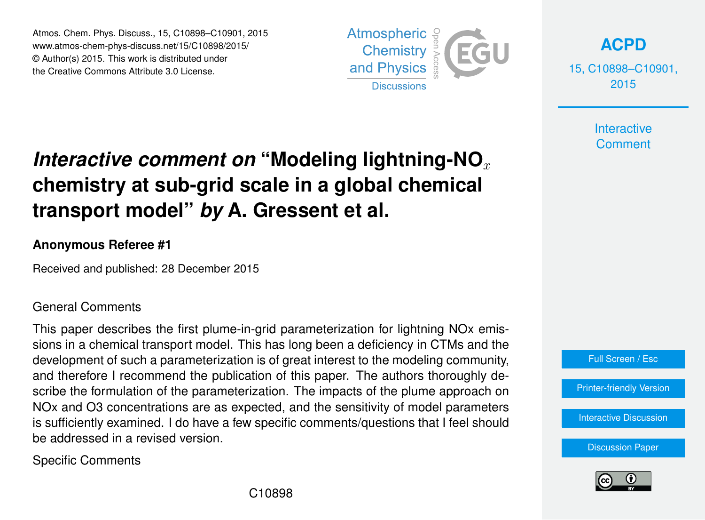Atmos. Chem. Phys. Discuss., 15, C10898–C10901, 2015 www.atmos-chem-phys-discuss.net/15/C10898/2015/ © Author(s) 2015. This work is distributed under the Creative Commons Attribute 3.0 License.



**[ACPD](http://www.atmos-chem-phys-discuss.net)**

15, C10898–C10901, 2015

> **Interactive Comment**

## *Interactive comment on* "Modeling lightning-NO<sub>x</sub> **chemistry at sub-grid scale in a global chemical transport model"** *by* **A. Gressent et al.**

## **Anonymous Referee #1**

Received and published: 28 December 2015

## General Comments

This paper describes the first plume-in-grid parameterization for lightning NOx emissions in a chemical transport model. This has long been a deficiency in CTMs and the development of such a parameterization is of great interest to the modeling community, and therefore I recommend the publication of this paper. The authors thoroughly describe the formulation of the parameterization. The impacts of the plume approach on NOx and O3 concentrations are as expected, and the sensitivity of model parameters is sufficiently examined. I do have a few specific comments/questions that I feel should be addressed in a revised version.

Specific Comments



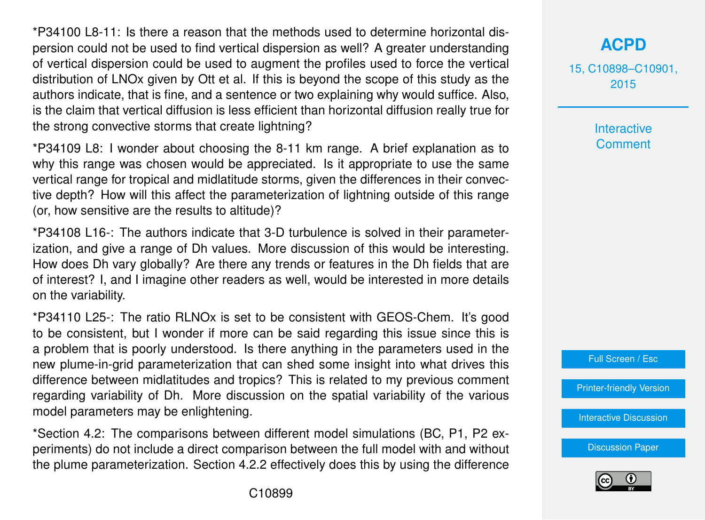\*P34100 L8-11: Is there a reason that the methods used to determine horizontal dispersion could not be used to find vertical dispersion as well? A greater understanding of vertical dispersion could be used to augment the profiles used to force the vertical distribution of LNOx given by Ott et al. If this is beyond the scope of this study as the authors indicate, that is fine, and a sentence or two explaining why would suffice. Also, is the claim that vertical diffusion is less efficient than horizontal diffusion really true for the strong convective storms that create lightning?

\*P34109 L8: I wonder about choosing the 8-11 km range. A brief explanation as to why this range was chosen would be appreciated. Is it appropriate to use the same vertical range for tropical and midlatitude storms, given the differences in their convective depth? How will this affect the parameterization of lightning outside of this range (or, how sensitive are the results to altitude)?

\*P34108 L16-: The authors indicate that 3-D turbulence is solved in their parameterization, and give a range of Dh values. More discussion of this would be interesting. How does Dh vary globally? Are there any trends or features in the Dh fields that are of interest? I, and I imagine other readers as well, would be interested in more details on the variability.

\*P34110 L25-: The ratio RLNOx is set to be consistent with GEOS-Chem. It's good to be consistent, but I wonder if more can be said regarding this issue since this is a problem that is poorly understood. Is there anything in the parameters used in the new plume-in-grid parameterization that can shed some insight into what drives this difference between midlatitudes and tropics? This is related to my previous comment regarding variability of Dh. More discussion on the spatial variability of the various model parameters may be enlightening.

\*Section 4.2: The comparisons between different model simulations (BC, P1, P2 experiments) do not include a direct comparison between the full model with and without the plume parameterization. Section 4.2.2 effectively does this by using the difference

15, C10898–C10901, 2015

> **Interactive Comment**



[Printer-friendly Version](http://www.atmos-chem-phys-discuss.net/15/C10898/2015/acpd-15-C10898-2015-print.pdf)

[Interactive Discussion](http://www.atmos-chem-phys-discuss.net/15/34091/2015/acpd-15-34091-2015-discussion.html)

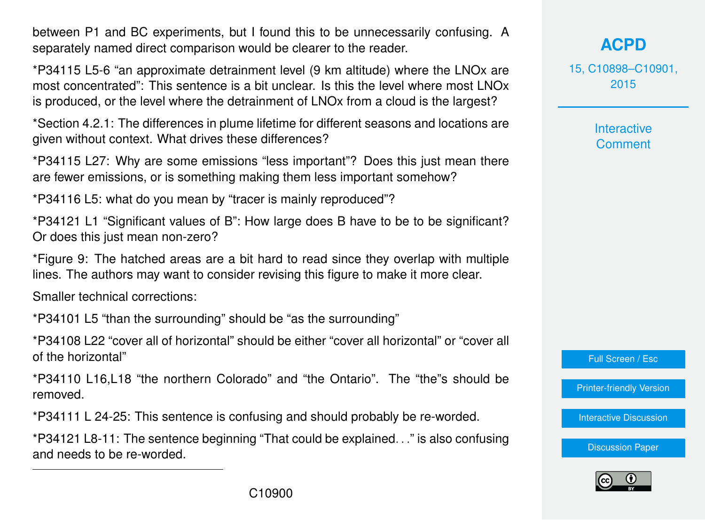between P1 and BC experiments, but I found this to be unnecessarily confusing. A separately named direct comparison would be clearer to the reader.

\*P34115 L5-6 "an approximate detrainment level (9 km altitude) where the LNOx are most concentrated": This sentence is a bit unclear. Is this the level where most LNOx is produced, or the level where the detrainment of LNOx from a cloud is the largest?

\*Section 4.2.1: The differences in plume lifetime for different seasons and locations are given without context. What drives these differences?

\*P34115 L27: Why are some emissions "less important"? Does this just mean there are fewer emissions, or is something making them less important somehow?

\*P34116 L5: what do you mean by "tracer is mainly reproduced"?

\*P34121 L1 "Significant values of B": How large does B have to be to be significant? Or does this just mean non-zero?

\*Figure 9: The hatched areas are a bit hard to read since they overlap with multiple lines. The authors may want to consider revising this figure to make it more clear.

Smaller technical corrections:

\*P34101 L5 "than the surrounding" should be "as the surrounding"

\*P34108 L22 "cover all of horizontal" should be either "cover all horizontal" or "cover all of the horizontal"

\*P34110 L16,L18 "the northern Colorado" and "the Ontario". The "the"s should be removed.

\*P34111 L 24-25: This sentence is confusing and should probably be re-worded.

\*P34121 L8-11: The sentence beginning "That could be explained. . ." is also confusing and needs to be re-worded.

15, C10898–C10901, 2015

> Interactive **Comment**



[Printer-friendly Version](http://www.atmos-chem-phys-discuss.net/15/C10898/2015/acpd-15-C10898-2015-print.pdf)

[Interactive Discussion](http://www.atmos-chem-phys-discuss.net/15/34091/2015/acpd-15-34091-2015-discussion.html)